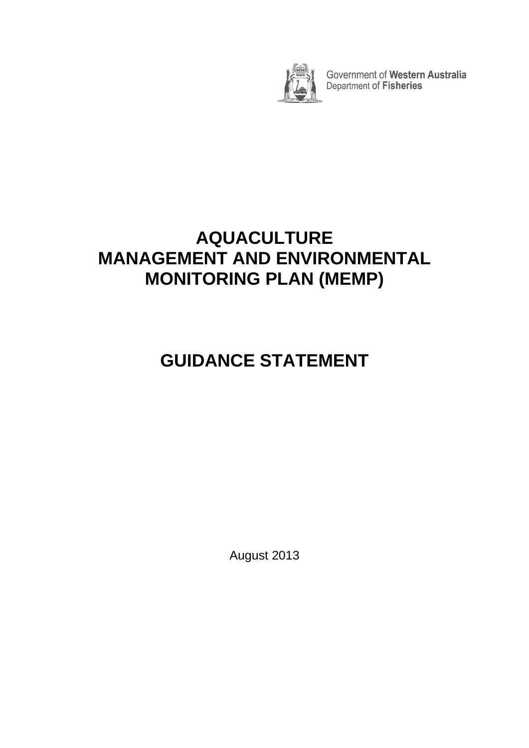

Government of Western Australia<br>Department of Fisheries

# **AQUACULTURE MANAGEMENT AND ENVIRONMENTAL MONITORING PLAN (MEMP)**

# **GUIDANCE STATEMENT**

August 2013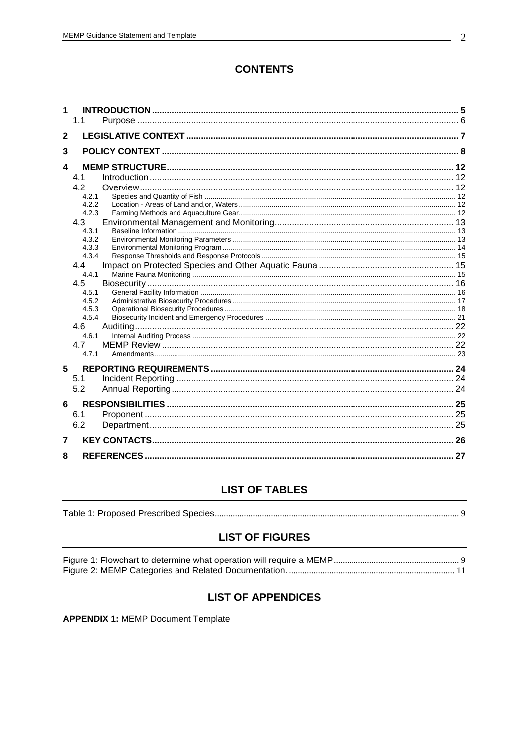# **CONTENTS**

| 1                | 1.1            |  |
|------------------|----------------|--|
|                  |                |  |
| $\mathbf{2}$     |                |  |
| 3                |                |  |
| $\blacktriangle$ |                |  |
|                  |                |  |
|                  | 4.1            |  |
|                  | 4.2            |  |
|                  | 4.2.1<br>4.2.2 |  |
|                  | 4.2.3          |  |
|                  | 4.3            |  |
|                  | 4.3.1          |  |
|                  | 4.3.2          |  |
|                  | 4.3.3          |  |
|                  | 4.3.4          |  |
|                  | 4.4            |  |
|                  | 4.4.1          |  |
|                  | 4.5            |  |
|                  | 4.5.1          |  |
|                  | 4.5.2<br>4.5.3 |  |
|                  | 4.5.4          |  |
|                  | 4.6            |  |
|                  | 4.6.1          |  |
|                  | 4.7            |  |
|                  | 4.7.1          |  |
|                  |                |  |
| 5                |                |  |
|                  | 5.1            |  |
|                  | 5.2            |  |
| 6                |                |  |
|                  | 6.1            |  |
|                  | 6.2            |  |
|                  |                |  |
| 7                |                |  |
| 8                |                |  |
|                  |                |  |

#### **LIST OF TABLES**

|--|--|

#### **LIST OF FIGURES**

#### **LIST OF APPENDICES**

**APPENDIX 1: MEMP Document Template**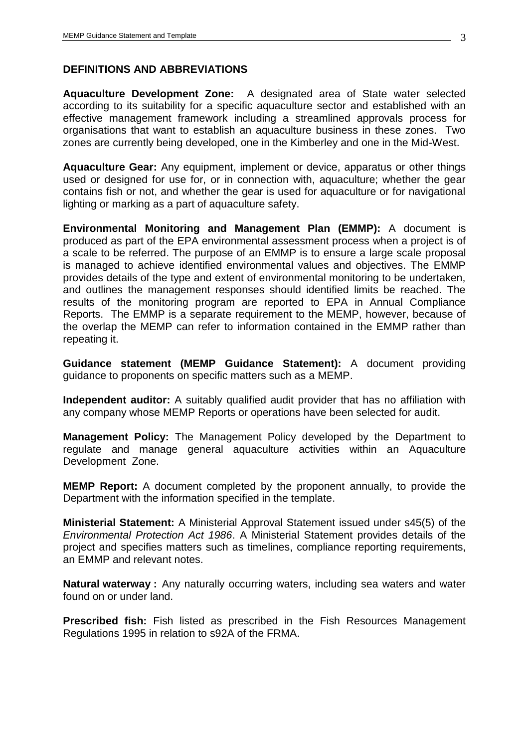#### **DEFINITIONS AND ABBREVIATIONS**

**Aquaculture Development Zone:** A designated area of State water selected according to its suitability for a specific aquaculture sector and established with an effective management framework including a streamlined approvals process for organisations that want to establish an aquaculture business in these zones. Two zones are currently being developed, one in the Kimberley and one in the Mid-West.

**Aquaculture Gear:** Any equipment, implement or device, apparatus or other things used or designed for use for, or in connection with, aquaculture; whether the gear contains fish or not, and whether the gear is used for aquaculture or for navigational lighting or marking as a part of aquaculture safety.

**Environmental Monitoring and Management Plan (EMMP):** A document is produced as part of the EPA environmental assessment process when a project is of a scale to be referred. The purpose of an EMMP is to ensure a large scale proposal is managed to achieve identified environmental values and objectives. The EMMP provides details of the type and extent of environmental monitoring to be undertaken, and outlines the management responses should identified limits be reached. The results of the monitoring program are reported to EPA in Annual Compliance Reports. The EMMP is a separate requirement to the MEMP, however, because of the overlap the MEMP can refer to information contained in the EMMP rather than repeating it.

**Guidance statement (MEMP Guidance Statement):** A document providing guidance to proponents on specific matters such as a MEMP.

**Independent auditor:** A suitably qualified audit provider that has no affiliation with any company whose MEMP Reports or operations have been selected for audit.

**Management Policy:** The Management Policy developed by the Department to regulate and manage general aquaculture activities within an Aquaculture Development Zone.

**MEMP Report:** A document completed by the proponent annually, to provide the Department with the information specified in the template.

**Ministerial Statement:** A Ministerial Approval Statement issued under s45(5) of the *Environmental Protection Act 1986*. A Ministerial Statement provides details of the project and specifies matters such as timelines, compliance reporting requirements, an EMMP and relevant notes.

**Natural waterway :** Any naturally occurring waters, including sea waters and water found on or under land.

**Prescribed fish:** Fish listed as prescribed in the Fish Resources Management Regulations 1995 in relation to s92A of the FRMA.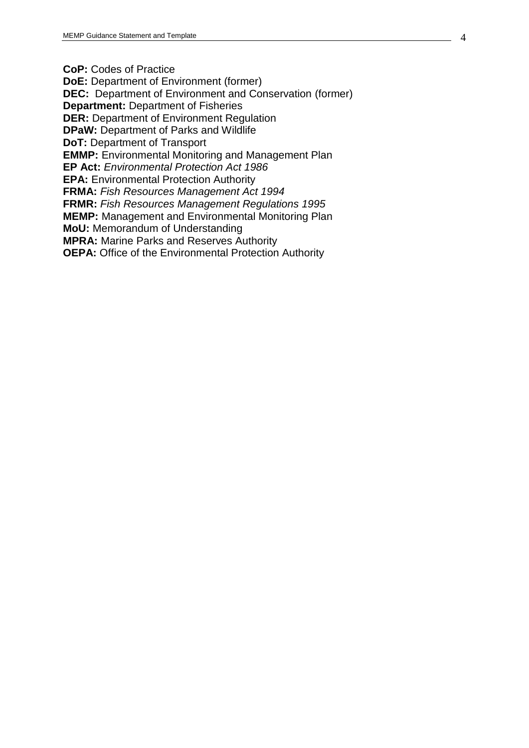**CoP:** Codes of Practice

**DoE:** Department of Environment (former)

**DEC:** Department of Environment and Conservation (former)

**Department:** Department of Fisheries

**DER:** Department of Environment Regulation

**DPaW:** Department of Parks and Wildlife

**DoT:** Department of Transport

**EMMP:** Environmental Monitoring and Management Plan

**EP Act:** *Environmental Protection Act 1986*

**EPA:** Environmental Protection Authority

**FRMA:** *Fish Resources Management Act 1994*

**FRMR:** *Fish Resources Management Regulations 1995*

**MEMP:** Management and Environmental Monitoring Plan

**MoU:** Memorandum of Understanding

**MPRA:** Marine Parks and Reserves Authority

**OEPA:** Office of the Environmental Protection Authority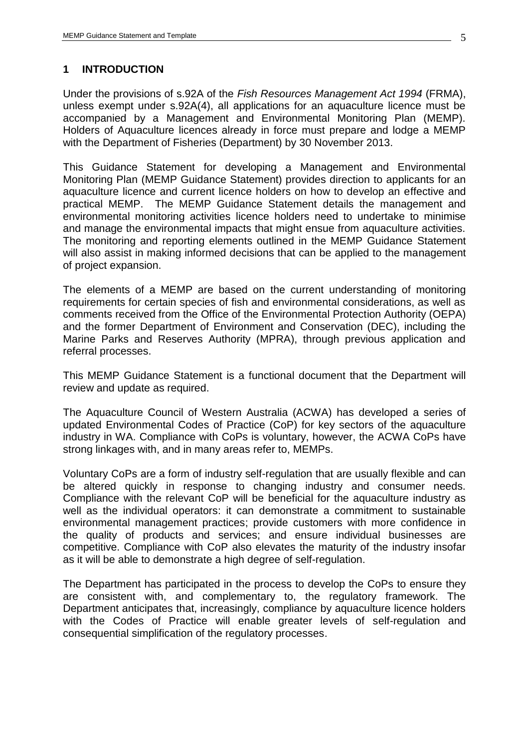#### <span id="page-4-0"></span>**1 INTRODUCTION**

Under the provisions of s.92A of the *Fish Resources Management Act 1994* (FRMA), unless exempt under s.92A(4), all applications for an aquaculture licence must be accompanied by a Management and Environmental Monitoring Plan (MEMP). Holders of Aquaculture licences already in force must prepare and lodge a MEMP with the Department of Fisheries (Department) by 30 November 2013.

This Guidance Statement for developing a Management and Environmental Monitoring Plan (MEMP Guidance Statement) provides direction to applicants for an aquaculture licence and current licence holders on how to develop an effective and practical MEMP. The MEMP Guidance Statement details the management and environmental monitoring activities licence holders need to undertake to minimise and manage the environmental impacts that might ensue from aquaculture activities. The monitoring and reporting elements outlined in the MEMP Guidance Statement will also assist in making informed decisions that can be applied to the management of project expansion.

The elements of a MEMP are based on the current understanding of monitoring requirements for certain species of fish and environmental considerations, as well as comments received from the Office of the Environmental Protection Authority (OEPA) and the former Department of Environment and Conservation (DEC), including the Marine Parks and Reserves Authority (MPRA), through previous application and referral processes.

This MEMP Guidance Statement is a functional document that the Department will review and update as required.

The Aquaculture Council of Western Australia (ACWA) has developed a series of updated Environmental Codes of Practice (CoP) for key sectors of the aquaculture industry in WA. Compliance with CoPs is voluntary, however, the ACWA CoPs have strong linkages with, and in many areas refer to, MEMPs.

Voluntary CoPs are a form of industry self-regulation that are usually flexible and can be altered quickly in response to changing industry and consumer needs. Compliance with the relevant CoP will be beneficial for the aquaculture industry as well as the individual operators: it can demonstrate a commitment to sustainable environmental management practices; provide customers with more confidence in the quality of products and services; and ensure individual businesses are competitive. Compliance with CoP also elevates the maturity of the industry insofar as it will be able to demonstrate a high degree of self-regulation.

The Department has participated in the process to develop the CoPs to ensure they are consistent with, and complementary to, the regulatory framework. The Department anticipates that, increasingly, compliance by aquaculture licence holders with the Codes of Practice will enable greater levels of self-regulation and consequential simplification of the regulatory processes.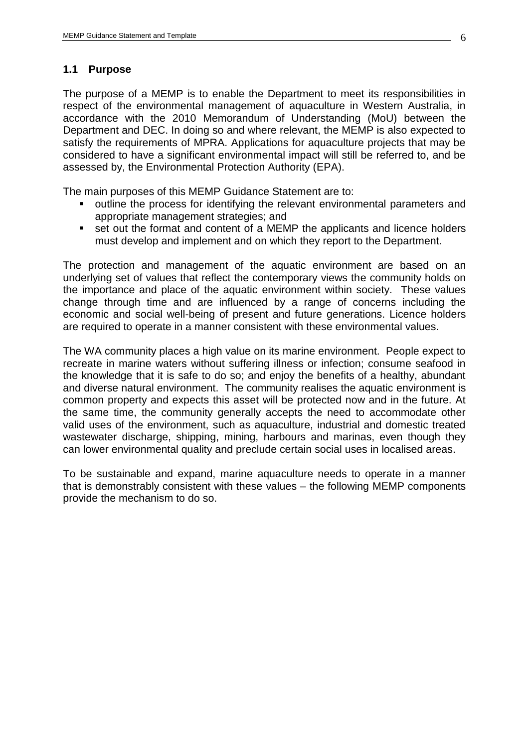#### <span id="page-5-0"></span>**1.1 Purpose**

The purpose of a MEMP is to enable the Department to meet its responsibilities in respect of the environmental management of aquaculture in Western Australia, in accordance with the 2010 Memorandum of Understanding (MoU) between the Department and DEC. In doing so and where relevant, the MEMP is also expected to satisfy the requirements of MPRA. Applications for aquaculture projects that may be considered to have a significant environmental impact will still be referred to, and be assessed by, the Environmental Protection Authority (EPA).

The main purposes of this MEMP Guidance Statement are to:

- outline the process for identifying the relevant environmental parameters and appropriate management strategies; and
- set out the format and content of a MEMP the applicants and licence holders must develop and implement and on which they report to the Department.

The protection and management of the aquatic environment are based on an underlying set of values that reflect the contemporary views the community holds on the importance and place of the aquatic environment within society. These values change through time and are influenced by a range of concerns including the economic and social well-being of present and future generations. Licence holders are required to operate in a manner consistent with these environmental values.

The WA community places a high value on its marine environment. People expect to recreate in marine waters without suffering illness or infection; consume seafood in the knowledge that it is safe to do so; and enjoy the benefits of a healthy, abundant and diverse natural environment. The community realises the aquatic environment is common property and expects this asset will be protected now and in the future. At the same time, the community generally accepts the need to accommodate other valid uses of the environment, such as aquaculture, industrial and domestic treated wastewater discharge, shipping, mining, harbours and marinas, even though they can lower environmental quality and preclude certain social uses in localised areas.

To be sustainable and expand, marine aquaculture needs to operate in a manner that is demonstrably consistent with these values – the following MEMP components provide the mechanism to do so.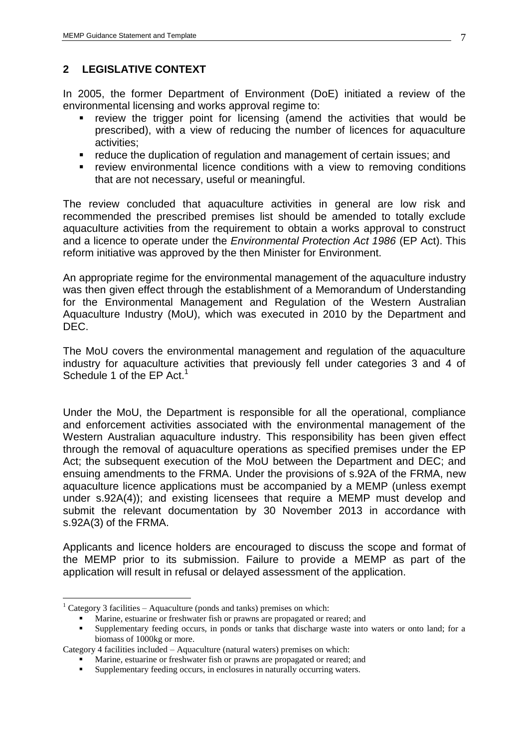# <span id="page-6-0"></span>**2 LEGISLATIVE CONTEXT**

In 2005, the former Department of Environment (DoE) initiated a review of the environmental licensing and works approval regime to:

- review the trigger point for licensing (amend the activities that would be prescribed), with a view of reducing the number of licences for aquaculture activities;
- reduce the duplication of regulation and management of certain issues; and
- **•** review environmental licence conditions with a view to removing conditions that are not necessary, useful or meaningful.

The review concluded that aquaculture activities in general are low risk and recommended the prescribed premises list should be amended to totally exclude aquaculture activities from the requirement to obtain a works approval to construct and a licence to operate under the *Environmental Protection Act 1986* (EP Act). This reform initiative was approved by the then Minister for Environment.

An appropriate regime for the environmental management of the aquaculture industry was then given effect through the establishment of a Memorandum of Understanding for the Environmental Management and Regulation of the Western Australian Aquaculture Industry (MoU), which was executed in 2010 by the Department and DEC.

The MoU covers the environmental management and regulation of the aquaculture industry for aquaculture activities that previously fell under categories 3 and 4 of Schedule 1 of the EP Act.<sup>1</sup>

Under the MoU, the Department is responsible for all the operational, compliance and enforcement activities associated with the environmental management of the Western Australian aquaculture industry. This responsibility has been given effect through the removal of aquaculture operations as specified premises under the EP Act; the subsequent execution of the MoU between the Department and DEC; and ensuing amendments to the FRMA. Under the provisions of s.92A of the FRMA, new aquaculture licence applications must be accompanied by a MEMP (unless exempt under s.92A(4)); and existing licensees that require a MEMP must develop and submit the relevant documentation by 30 November 2013 in accordance with s.92A(3) of the FRMA.

Applicants and licence holders are encouraged to discuss the scope and format of the MEMP prior to its submission. Failure to provide a MEMP as part of the application will result in refusal or delayed assessment of the application.

 $\overline{a}$ 

<sup>&</sup>lt;sup>1</sup> Category 3 facilities – Aquaculture (ponds and tanks) premises on which:

Marine, estuarine or freshwater fish or prawns are propagated or reared; and

Supplementary feeding occurs, in ponds or tanks that discharge waste into waters or onto land; for a biomass of 1000kg or more.

Category 4 facilities included – Aquaculture (natural waters) premises on which:

**Marine, estuarine or freshwater fish or prawns are propagated or reared; and** 

Supplementary feeding occurs, in enclosures in naturally occurring waters.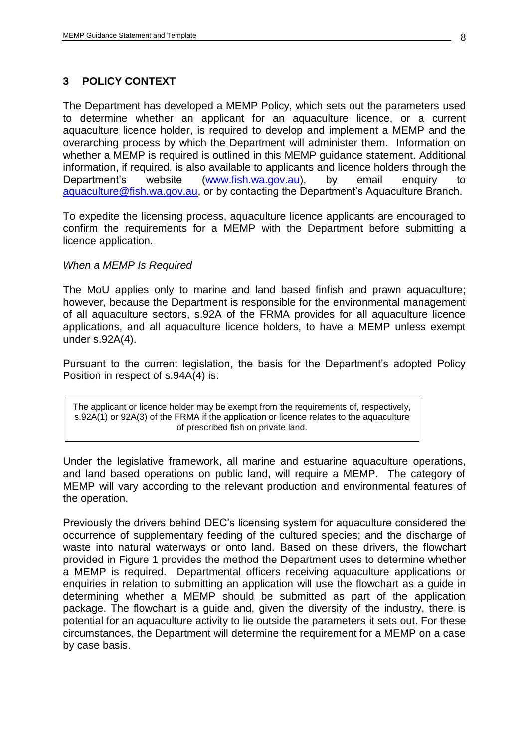#### <span id="page-7-0"></span>**3 POLICY CONTEXT**

The Department has developed a MEMP Policy, which sets out the parameters used to determine whether an applicant for an aquaculture licence, or a current aquaculture licence holder, is required to develop and implement a MEMP and the overarching process by which the Department will administer them. Information on whether a MEMP is required is outlined in this MEMP guidance statement. Additional information, if required, is also available to applicants and licence holders through the Department's website [\(www.fish.wa.gov.au\)](http://www.fish.wa.gov.au/), by email enquiry to [aquaculture@fish.wa.gov.au,](mailto:aquaculture@fish.wa.gov.au) or by contacting the Department's Aquaculture Branch.

To expedite the licensing process, aquaculture licence applicants are encouraged to confirm the requirements for a MEMP with the Department before submitting a licence application.

#### *When a MEMP Is Required*

The MoU applies only to marine and land based finfish and prawn aquaculture; however, because the Department is responsible for the environmental management of all aquaculture sectors, s.92A of the FRMA provides for all aquaculture licence applications, and all aquaculture licence holders, to have a MEMP unless exempt under s.92A(4).

Pursuant to the current legislation, the basis for the Department's adopted Policy Position in respect of s.94A(4) is:

The applicant or licence holder may be exempt from the requirements of, respectively, s.92A(1) or 92A(3) of the FRMA if the application or licence relates to the aquaculture of prescribed fish on private land.

Under the legislative framework, all marine and estuarine aquaculture operations, and land based operations on public land, will require a MEMP. The category of MEMP will vary according to the relevant production and environmental features of the operation.

Previously the drivers behind DEC's licensing system for aquaculture considered the occurrence of supplementary feeding of the cultured species; and the discharge of waste into natural waterways or onto land. Based on these drivers, the flowchart provided in Figure 1 provides the method the Department uses to determine whether a MEMP is required. Departmental officers receiving aquaculture applications or enquiries in relation to submitting an application will use the flowchart as a guide in determining whether a MEMP should be submitted as part of the application package. The flowchart is a guide and, given the diversity of the industry, there is potential for an aquaculture activity to lie outside the parameters it sets out. For these circumstances, the Department will determine the requirement for a MEMP on a case by case basis.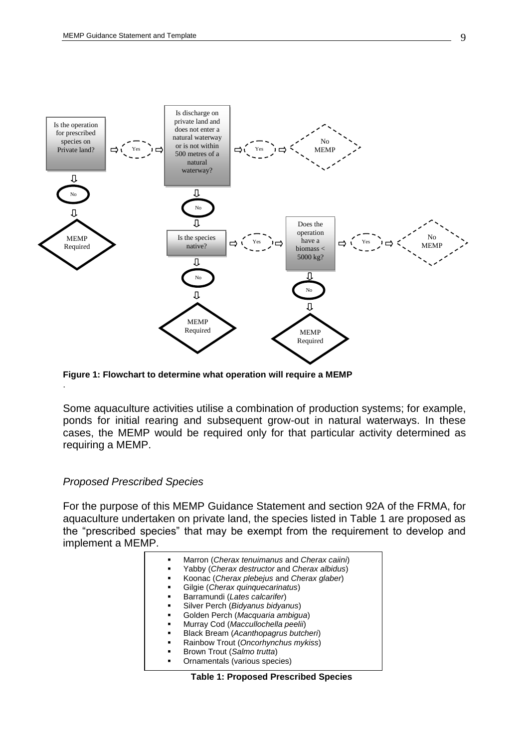

<span id="page-8-1"></span>**Figure 1: Flowchart to determine what operation will require a MEMP**

Some aquaculture activities utilise a combination of production systems; for example, ponds for initial rearing and subsequent grow-out in natural waterways. In these cases, the MEMP would be required only for that particular activity determined as requiring a MEMP.

#### *Proposed Prescribed Species*

.

For the purpose of this MEMP Guidance Statement and section 92A of the FRMA, for aquaculture undertaken on private land, the species listed in Table 1 are proposed as the "prescribed species" that may be exempt from the requirement to develop and implement a MEMP.

| ٠<br>٠ | Marron (Cherax tenuimanus and Cherax caiini)<br>Yabby (Cherax destructor and Cherax albidus) |
|--------|----------------------------------------------------------------------------------------------|
| ٠      | Koonac (Cherax plebejus and Cherax glaber)                                                   |
| ٠      | Gilgie (Cherax quinquecarinatus)                                                             |
| ٠      | Barramundi (Lates calcarifer)                                                                |
| ٠      | Silver Perch (Bidyanus bidyanus)                                                             |
| ٠      | Golden Perch (Macquaria ambigua)                                                             |
| ٠      | Murray Cod (Maccullochella peelii)                                                           |
| ٠      | Black Bream (Acanthopagrus butcheri)                                                         |
| ٠      | Rainbow Trout (Oncorhynchus mykiss)                                                          |
| ٠      | Brown Trout (Salmo trutta)                                                                   |
|        | Ornamentals (various species)                                                                |
|        |                                                                                              |

#### <span id="page-8-0"></span>**Table 1: Proposed Prescribed Species**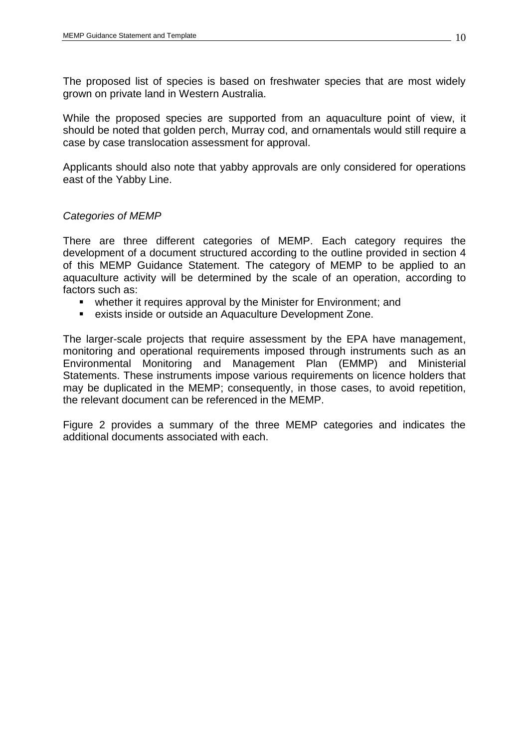The proposed list of species is based on freshwater species that are most widely grown on private land in Western Australia.

While the proposed species are supported from an aquaculture point of view, it should be noted that golden perch, Murray cod, and ornamentals would still require a case by case translocation assessment for approval.

Applicants should also note that yabby approvals are only considered for operations east of the Yabby Line.

## *Categories of MEMP*

There are three different categories of MEMP. Each category requires the development of a document structured according to the outline provided in section 4 of this MEMP Guidance Statement. The category of MEMP to be applied to an aquaculture activity will be determined by the scale of an operation, according to factors such as:

- whether it requires approval by the Minister for Environment; and
- exists inside or outside an Aquaculture Development Zone.

The larger-scale projects that require assessment by the EPA have management, monitoring and operational requirements imposed through instruments such as an Environmental Monitoring and Management Plan (EMMP) and Ministerial Statements. These instruments impose various requirements on licence holders that may be duplicated in the MEMP; consequently, in those cases, to avoid repetition, the relevant document can be referenced in the MEMP.

Figure 2 provides a summary of the three MEMP categories and indicates the additional documents associated with each.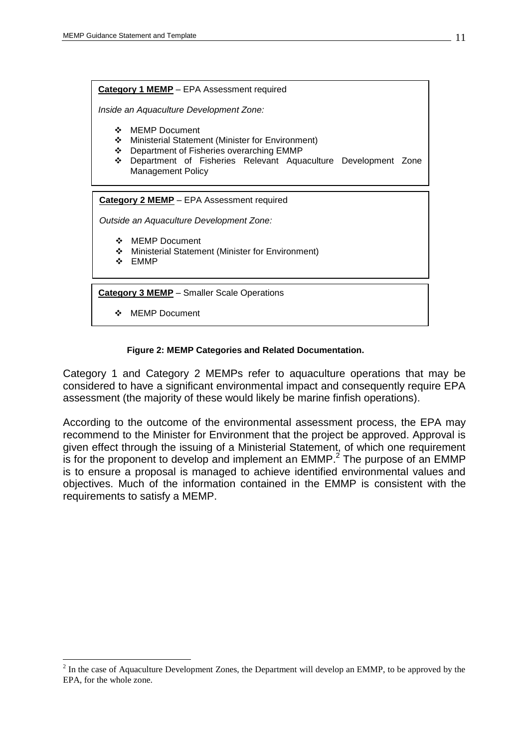**Category 1 MEMP** – EPA Assessment required

*Inside an Aquaculture Development Zone:*

- ❖ MEMP Document
- Ministerial Statement (Minister for Environment)
- Department of Fisheries overarching EMMP
- Department of Fisheries Relevant Aquaculture Development Zone Management Policy

**Category 2 MEMP** – EPA Assessment required

*Outside an Aquaculture Development Zone:*

- MEMP Document
- Ministerial Statement (Minister for Environment)
- ❖ EMMP

 $\overline{a}$ 

**Category 3 MEMP** – Smaller Scale Operations

MEMP Document

#### **Figure 2: MEMP Categories and Related Documentation.**

<span id="page-10-0"></span>Category 1 and Category 2 MEMPs refer to aquaculture operations that may be considered to have a significant environmental impact and consequently require EPA assessment (the majority of these would likely be marine finfish operations).

According to the outcome of the environmental assessment process, the EPA may recommend to the Minister for Environment that the project be approved. Approval is given effect through the issuing of a Ministerial Statement, of which one requirement is for the proponent to develop and implement an  $EMMP<sup>2</sup>$  The purpose of an EMMP is to ensure a proposal is managed to achieve identified environmental values and objectives. Much of the information contained in the EMMP is consistent with the requirements to satisfy a MEMP.

 $2^{2}$  In the case of Aquaculture Development Zones, the Department will develop an EMMP, to be approved by the EPA, for the whole zone.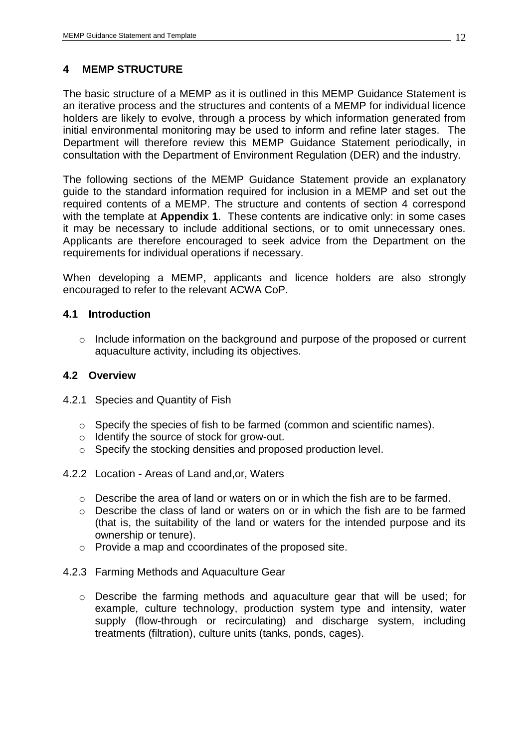# <span id="page-11-0"></span>**4 MEMP STRUCTURE**

The basic structure of a MEMP as it is outlined in this MEMP Guidance Statement is an iterative process and the structures and contents of a MEMP for individual licence holders are likely to evolve, through a process by which information generated from initial environmental monitoring may be used to inform and refine later stages. The Department will therefore review this MEMP Guidance Statement periodically, in consultation with the Department of Environment Regulation (DER) and the industry.

The following sections of the MEMP Guidance Statement provide an explanatory guide to the standard information required for inclusion in a MEMP and set out the required contents of a MEMP. The structure and contents of section 4 correspond with the template at **Appendix 1**. These contents are indicative only: in some cases it may be necessary to include additional sections, or to omit unnecessary ones. Applicants are therefore encouraged to seek advice from the Department on the requirements for individual operations if necessary.

When developing a MEMP, applicants and licence holders are also strongly encouraged to refer to the relevant ACWA CoP.

# <span id="page-11-1"></span>**4.1 Introduction**

o Include information on the background and purpose of the proposed or current aquaculture activity, including its objectives.

## <span id="page-11-2"></span>**4.2 Overview**

- <span id="page-11-3"></span>4.2.1 Species and Quantity of Fish
	- o Specify the species of fish to be farmed (common and scientific names).
	- o Identify the source of stock for grow-out.
	- o Specify the stocking densities and proposed production level.
- <span id="page-11-4"></span>4.2.2 Location - Areas of Land and,or, Waters
	- o Describe the area of land or waters on or in which the fish are to be farmed.
	- o Describe the class of land or waters on or in which the fish are to be farmed (that is, the suitability of the land or waters for the intended purpose and its ownership or tenure).
	- o Provide a map and ccoordinates of the proposed site.
- <span id="page-11-5"></span>4.2.3 Farming Methods and Aquaculture Gear
	- o Describe the farming methods and aquaculture gear that will be used; for example, culture technology, production system type and intensity, water supply (flow-through or recirculating) and discharge system, including treatments (filtration), culture units (tanks, ponds, cages).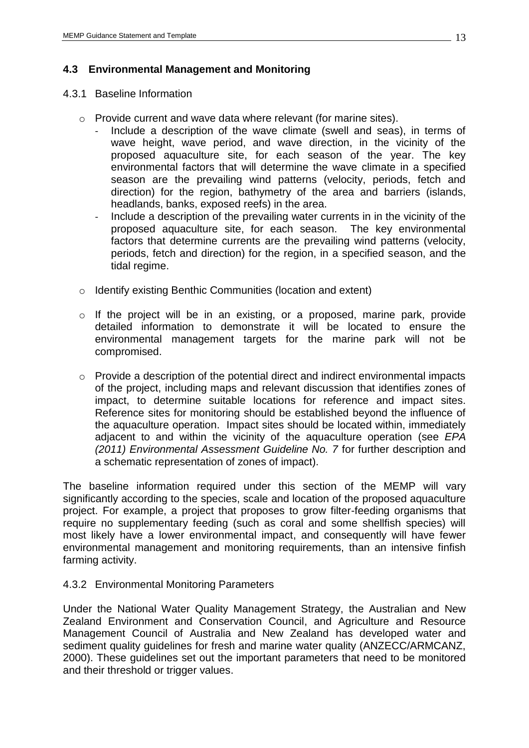# <span id="page-12-0"></span>**4.3 Environmental Management and Monitoring**

#### <span id="page-12-1"></span>4.3.1 Baseline Information

- o Provide current and wave data where relevant (for marine sites).
	- Include a description of the wave climate (swell and seas), in terms of wave height, wave period, and wave direction, in the vicinity of the proposed aquaculture site, for each season of the year. The key environmental factors that will determine the wave climate in a specified season are the prevailing wind patterns (velocity, periods, fetch and direction) for the region, bathymetry of the area and barriers (islands, headlands, banks, exposed reefs) in the area.
	- Include a description of the prevailing water currents in in the vicinity of the proposed aquaculture site, for each season. The key environmental factors that determine currents are the prevailing wind patterns (velocity, periods, fetch and direction) for the region, in a specified season, and the tidal regime.
- o Identify existing Benthic Communities (location and extent)
- o If the project will be in an existing, or a proposed, marine park, provide detailed information to demonstrate it will be located to ensure the environmental management targets for the marine park will not be compromised.
- o Provide a description of the potential direct and indirect environmental impacts of the project, including maps and relevant discussion that identifies zones of impact, to determine suitable locations for reference and impact sites. Reference sites for monitoring should be established beyond the influence of the aquaculture operation. Impact sites should be located within, immediately adjacent to and within the vicinity of the aquaculture operation (see *EPA (2011) Environmental Assessment Guideline No. 7* for further description and a schematic representation of zones of impact).

The baseline information required under this section of the MEMP will vary significantly according to the species, scale and location of the proposed aquaculture project. For example, a project that proposes to grow filter-feeding organisms that require no supplementary feeding (such as coral and some shellfish species) will most likely have a lower environmental impact, and consequently will have fewer environmental management and monitoring requirements, than an intensive finfish farming activity.

## <span id="page-12-2"></span>4.3.2 Environmental Monitoring Parameters

Under the National Water Quality Management Strategy, the Australian and New Zealand Environment and Conservation Council, and Agriculture and Resource Management Council of Australia and New Zealand has developed water and sediment quality guidelines for fresh and marine water quality (ANZECC/ARMCANZ, 2000). These guidelines set out the important parameters that need to be monitored and their threshold or trigger values.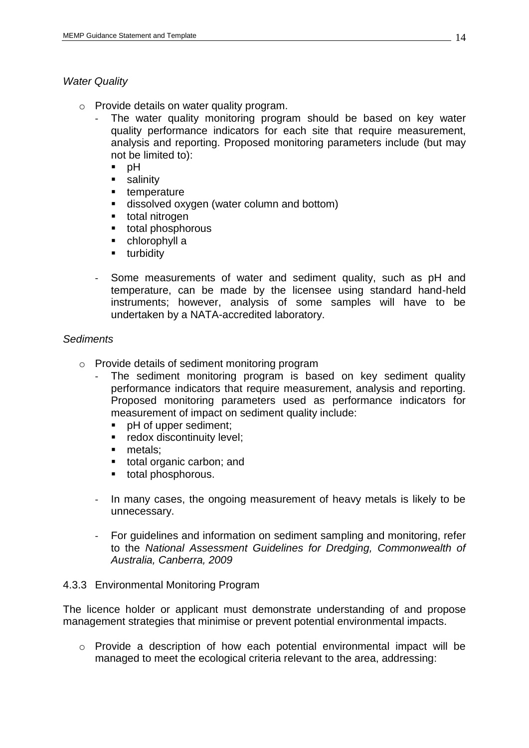# *Water Quality*

- o Provide details on water quality program.
	- The water quality monitoring program should be based on key water quality performance indicators for each site that require measurement, analysis and reporting. Proposed monitoring parameters include (but may not be limited to):
		- $p$  bH
		- **salinity**
		- **temperature**
		- **dissolved oxygen (water column and bottom)**
		- **total nitrogen**
		- **total phosphorous**
		- chlorophyll a
		- **u** turbidity
	- Some measurements of water and sediment quality, such as pH and temperature, can be made by the licensee using standard hand-held instruments; however, analysis of some samples will have to be undertaken by a NATA-accredited laboratory.

#### *Sediments*

- o Provide details of sediment monitoring program
	- The sediment monitoring program is based on key sediment quality performance indicators that require measurement, analysis and reporting. Proposed monitoring parameters used as performance indicators for measurement of impact on sediment quality include:
		- **PH of upper sediment;**
		- **redox discontinuity level;**
		- **netals**:
		- total organic carbon; and
		- total phosphorous.
	- In many cases, the ongoing measurement of heavy metals is likely to be unnecessary.
	- For guidelines and information on sediment sampling and monitoring, refer to the *National Assessment Guidelines for Dredging, Commonwealth of Australia, Canberra, 2009*

## <span id="page-13-0"></span>4.3.3 Environmental Monitoring Program

The licence holder or applicant must demonstrate understanding of and propose management strategies that minimise or prevent potential environmental impacts.

o Provide a description of how each potential environmental impact will be managed to meet the ecological criteria relevant to the area, addressing: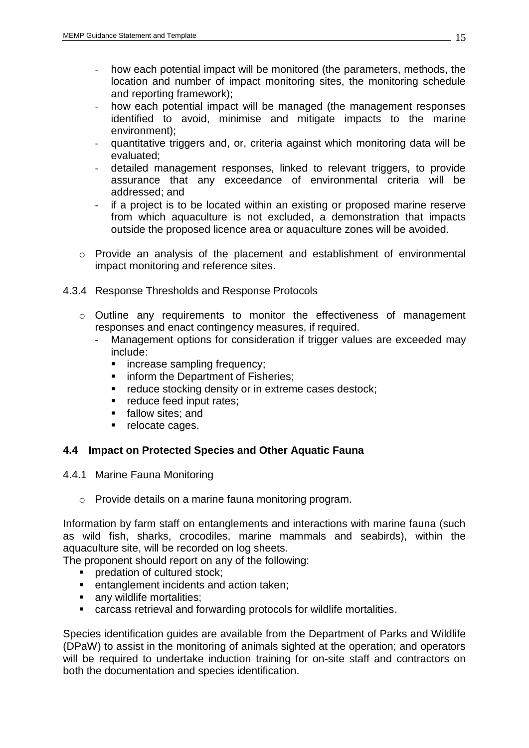- how each potential impact will be monitored (the parameters, methods, the location and number of impact monitoring sites, the monitoring schedule and reporting framework);
- how each potential impact will be managed (the management responses identified to avoid, minimise and mitigate impacts to the marine environment);
- quantitative triggers and, or, criteria against which monitoring data will be evaluated;
- detailed management responses, linked to relevant triggers, to provide assurance that any exceedance of environmental criteria will be addressed; and
- if a project is to be located within an existing or proposed marine reserve from which aquaculture is not excluded, a demonstration that impacts outside the proposed licence area or aquaculture zones will be avoided.
- o Provide an analysis of the placement and establishment of environmental impact monitoring and reference sites.
- <span id="page-14-0"></span>4.3.4 Response Thresholds and Response Protocols
	- o Outline any requirements to monitor the effectiveness of management responses and enact contingency measures, if required.
		- Management options for consideration if trigger values are exceeded may include:
			- **increase sampling frequency;**
			- **inform the Department of Fisheries;**
			- **•** reduce stocking density or in extreme cases destock;
			- **Part Fieduce feed input rates;**
			- **fallow sites; and**
			- relocate cages.

## <span id="page-14-1"></span>**4.4 Impact on Protected Species and Other Aquatic Fauna**

- <span id="page-14-2"></span>4.4.1 Marine Fauna Monitoring
	- o Provide details on a marine fauna monitoring program.

Information by farm staff on entanglements and interactions with marine fauna (such as wild fish, sharks, crocodiles, marine mammals and seabirds), within the aquaculture site, will be recorded on log sheets.

The proponent should report on any of the following:

- **Predation of cultured stock:**
- **EXECTE ENTERT ENTERT** entanglement incidents and action taken;
- any wildlife mortalities;
- carcass retrieval and forwarding protocols for wildlife mortalities.

Species identification guides are available from the Department of Parks and Wildlife (DPaW) to assist in the monitoring of animals sighted at the operation; and operators will be required to undertake induction training for on-site staff and contractors on both the documentation and species identification.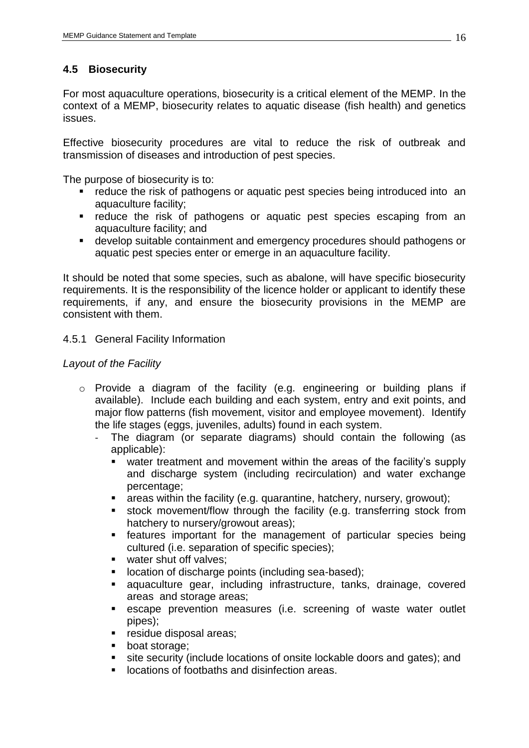# <span id="page-15-0"></span>**4.5 Biosecurity**

For most aquaculture operations, biosecurity is a critical element of the MEMP. In the context of a MEMP, biosecurity relates to aquatic disease (fish health) and genetics issues.

Effective biosecurity procedures are vital to reduce the risk of outbreak and transmission of diseases and introduction of pest species.

The purpose of biosecurity is to:

- **F** reduce the risk of pathogens or aquatic pest species being introduced into an aquaculture facility;
- **•** reduce the risk of pathogens or aquatic pest species escaping from an aquaculture facility; and
- develop suitable containment and emergency procedures should pathogens or aquatic pest species enter or emerge in an aquaculture facility.

It should be noted that some species, such as abalone, will have specific biosecurity requirements. It is the responsibility of the licence holder or applicant to identify these requirements, if any, and ensure the biosecurity provisions in the MEMP are consistent with them.

# <span id="page-15-1"></span>4.5.1 General Facility Information

# *Layout of the Facility*

- o Provide a diagram of the facility (e.g. engineering or building plans if available). Include each building and each system, entry and exit points, and major flow patterns (fish movement, visitor and employee movement). Identify the life stages (eggs, juveniles, adults) found in each system.
	- The diagram (or separate diagrams) should contain the following (as applicable):
		- water treatment and movement within the areas of the facility's supply and discharge system (including recirculation) and water exchange percentage;
		- **EXT** areas within the facility (e.g. quarantine, hatchery, nursery, growout);
		- stock movement/flow through the facility (e.g. transferring stock from hatchery to nursery/growout areas);
		- features important for the management of particular species being cultured (i.e. separation of specific species);
		- water shut off valves:
		- **IDCATION OF DISCOTE POINTS (INCLUDING SEA-based);**
		- aquaculture gear, including infrastructure, tanks, drainage, covered areas and storage areas;
		- escape prevention measures (i.e. screening of waste water outlet pipes);
		- **F** residue disposal areas;
		- **boat storage;**
		- site security (include locations of onsite lockable doors and gates); and
		- **Locations of footbaths and disinfection areas.**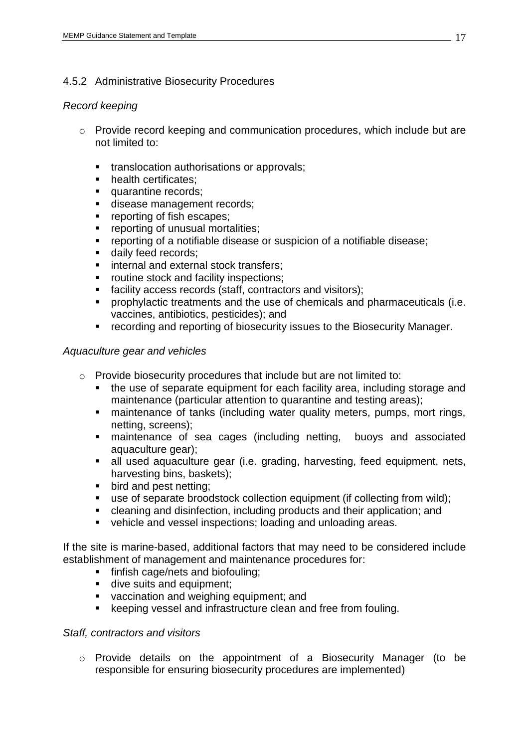# <span id="page-16-0"></span>4.5.2 Administrative Biosecurity Procedures

#### *Record keeping*

- o Provide record keeping and communication procedures, which include but are not limited to:
	- **translocation authorisations or approvals;**
	- health certificates:
	- quarantine records;
	- disease management records;
	- **•** reporting of fish escapes:
	- **•** reporting of unusual mortalities;
	- reporting of a notifiable disease or suspicion of a notifiable disease;
	- daily feed records;
	- **internal and external stock transfers;**
	- **•** routine stock and facility inspections:
	- facility access records (staff, contractors and visitors);
	- prophylactic treatments and the use of chemicals and pharmaceuticals (i.e. vaccines, antibiotics, pesticides); and
	- recording and reporting of biosecurity issues to the Biosecurity Manager.

## *Aquaculture gear and vehicles*

- o Provide biosecurity procedures that include but are not limited to:
	- the use of separate equipment for each facility area, including storage and maintenance (particular attention to quarantine and testing areas);
	- **EXEDENT** maintenance of tanks (including water quality meters, pumps, mort rings, netting, screens);
	- maintenance of sea cages (including netting, buoys and associated aquaculture gear);
	- all used aquaculture gear (i.e. grading, harvesting, feed equipment, nets, harvesting bins, baskets);
	- **bird and pest netting:**
	- use of separate broodstock collection equipment (if collecting from wild);
	- cleaning and disinfection, including products and their application; and
	- vehicle and vessel inspections; loading and unloading areas.

If the site is marine-based, additional factors that may need to be considered include establishment of management and maintenance procedures for:

- **finfish cage/nets and biofouling:**
- dive suits and equipment;
- vaccination and weighing equipment; and
- **EXECTED EXECTED EXECTED EXECTED** Keeping vessel and infrastructure clean and free from fouling.

## *Staff, contractors and visitors*

o Provide details on the appointment of a Biosecurity Manager (to be responsible for ensuring biosecurity procedures are implemented)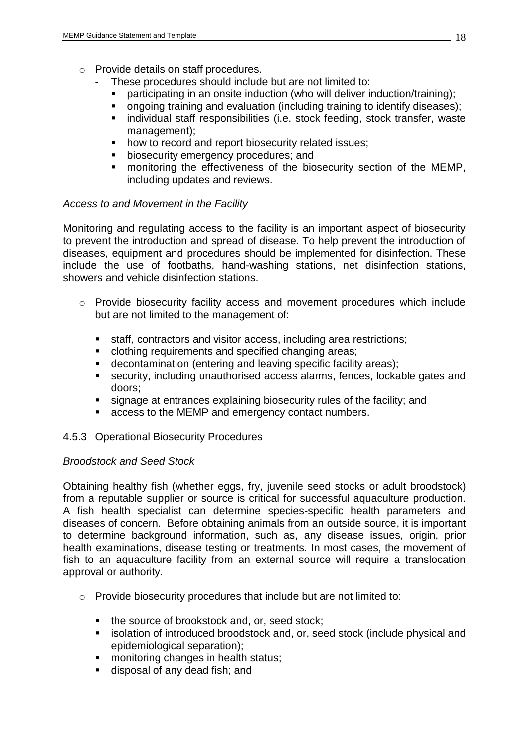- o Provide details on staff procedures.
	- These procedures should include but are not limited to:
		- participating in an onsite induction (who will deliver induction/training);
	- **•** ongoing training and evaluation (including training to identify diseases);
	- **individual staff responsibilities (i.e. stock feeding, stock transfer, wastelly** management);
	- how to record and report biosecurity related issues;
	- **biosecurity emergency procedures; and**
	- monitoring the effectiveness of the biosecurity section of the MEMP, including updates and reviews.

#### *Access to and Movement in the Facility*

Monitoring and regulating access to the facility is an important aspect of biosecurity to prevent the introduction and spread of disease. To help prevent the introduction of diseases, equipment and procedures should be implemented for disinfection. These include the use of footbaths, hand-washing stations, net disinfection stations, showers and vehicle disinfection stations.

- o Provide biosecurity facility access and movement procedures which include but are not limited to the management of:
	- staff, contractors and visitor access, including area restrictions;
	- **clothing requirements and specified changing areas;**
	- **decontamination (entering and leaving specific facility areas);**
	- security, including unauthorised access alarms, fences, lockable gates and doors;
	- signage at entrances explaining biosecurity rules of the facility; and
	- **access to the MEMP and emergency contact numbers.**

## <span id="page-17-0"></span>4.5.3 Operational Biosecurity Procedures

## *Broodstock and Seed Stock*

Obtaining healthy fish (whether eggs, fry, juvenile seed stocks or adult broodstock) from a reputable supplier or source is critical for successful aquaculture production. A fish health specialist can determine species-specific health parameters and diseases of concern. Before obtaining animals from an outside source, it is important to determine background information, such as, any disease issues, origin, prior health examinations, disease testing or treatments. In most cases, the movement of fish to an aquaculture facility from an external source will require a translocation approval or authority.

- o Provide biosecurity procedures that include but are not limited to:
	- the source of brookstock and, or, seed stock:
	- **EXEDEE ISOlation of introduced broodstock and, or, seed stock (include physical and** epidemiological separation);
	- **nonitoring changes in health status;**
	- disposal of any dead fish; and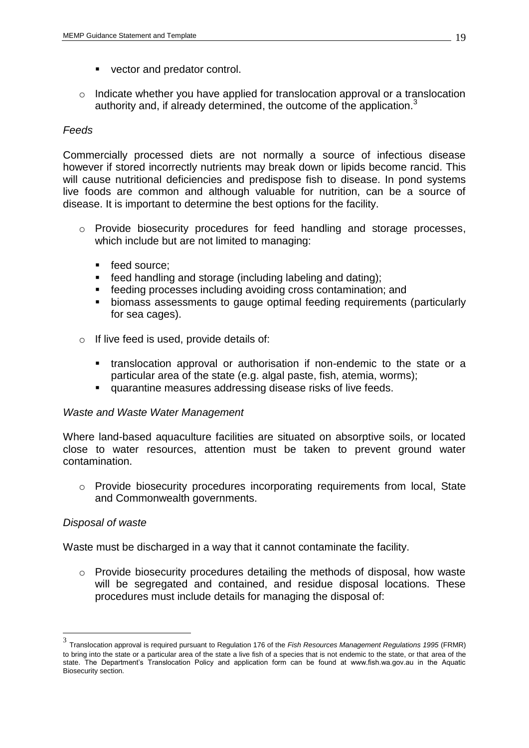- vector and predator control.
- o Indicate whether you have applied for translocation approval or a translocation authority and, if already determined, the outcome of the application. $3$

## *Feeds*

Commercially processed diets are not normally a source of infectious disease however if stored incorrectly nutrients may break down or lipids become rancid. This will cause nutritional deficiencies and predispose fish to disease. In pond systems live foods are common and although valuable for nutrition, can be a source of disease. It is important to determine the best options for the facility.

- o Provide biosecurity procedures for feed handling and storage processes, which include but are not limited to managing:
	- feed source:
	- **feed handling and storage (including labeling and dating):**
	- **Figure 1** feeding processes including avoiding cross contamination; and
	- biomass assessments to gauge optimal feeding requirements (particularly for sea cages).
- o If live feed is used, provide details of:
	- **translocation approval or authorisation if non-endemic to the state or a** particular area of the state (e.g. algal paste, fish, atemia, worms);
	- quarantine measures addressing disease risks of live feeds.

## *Waste and Waste Water Management*

Where land-based aquaculture facilities are situated on absorptive soils, or located close to water resources, attention must be taken to prevent ground water contamination.

 $\circ$  Provide biosecurity procedures incorporating requirements from local. State and Commonwealth governments.

## *Disposal of waste*

 $\overline{a}$ 

Waste must be discharged in a way that it cannot contaminate the facility.

o Provide biosecurity procedures detailing the methods of disposal, how waste will be segregated and contained, and residue disposal locations. These procedures must include details for managing the disposal of:

<sup>3</sup> Translocation approval is required pursuant to Regulation 176 of the *Fish Resources Management Regulations 1995* (FRMR) to bring into the state or a particular area of the state a live fish of a species that is not endemic to the state, or that area of the state. The Department's Translocation Policy and application form can be found at www.fish.wa.gov.au in the Aquatic Biosecurity section.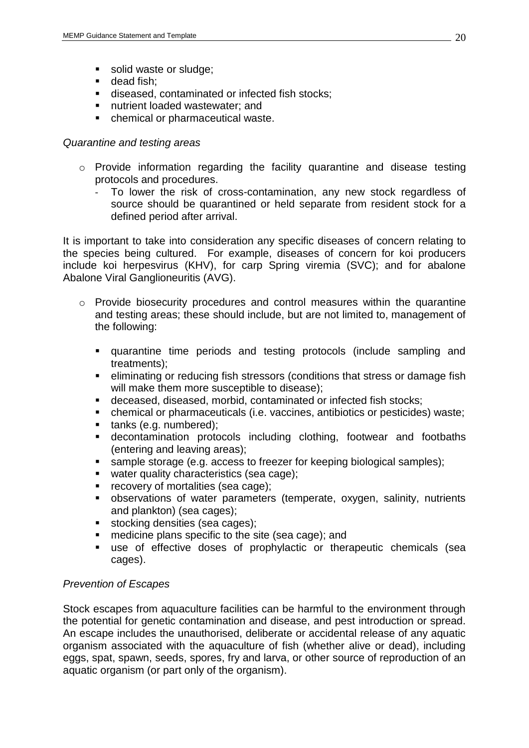- solid waste or sludge;
- dead fish:
- diseased, contaminated or infected fish stocks;
- nutrient loaded wastewater; and
- chemical or pharmaceutical waste.

## *Quarantine and testing areas*

- o Provide information regarding the facility quarantine and disease testing protocols and procedures.
	- To lower the risk of cross-contamination, any new stock regardless of source should be quarantined or held separate from resident stock for a defined period after arrival.

It is important to take into consideration any specific diseases of concern relating to the species being cultured. For example, diseases of concern for koi producers include koi herpesvirus (KHV), for carp Spring viremia (SVC); and for abalone Abalone Viral Ganglioneuritis (AVG).

- o Provide biosecurity procedures and control measures within the quarantine and testing areas; these should include, but are not limited to, management of the following:
	- quarantine time periods and testing protocols (include sampling and treatments);
	- eliminating or reducing fish stressors (conditions that stress or damage fish will make them more susceptible to disease);
	- deceased, diseased, morbid, contaminated or infected fish stocks;
	- chemical or pharmaceuticals (i.e. vaccines, antibiotics or pesticides) waste;
	- **tanks (e.g. numbered):**
	- decontamination protocols including clothing, footwear and footbaths (entering and leaving areas);
	- sample storage (e.g. access to freezer for keeping biological samples);
	- water quality characteristics (sea cage);
	- **recovery of mortalities (sea cage);**
	- observations of water parameters (temperate, oxygen, salinity, nutrients and plankton) (sea cages);
	- stocking densities (sea cages);
	- medicine plans specific to the site (sea cage); and
	- use of effective doses of prophylactic or therapeutic chemicals (sea cages).

# *Prevention of Escapes*

Stock escapes from aquaculture facilities can be harmful to the environment through the potential for genetic contamination and disease, and pest introduction or spread. An escape includes the unauthorised, deliberate or accidental release of any aquatic organism associated with the aquaculture of fish (whether alive or dead), including eggs, spat, spawn, seeds, spores, fry and larva, or other source of reproduction of an aquatic organism (or part only of the organism).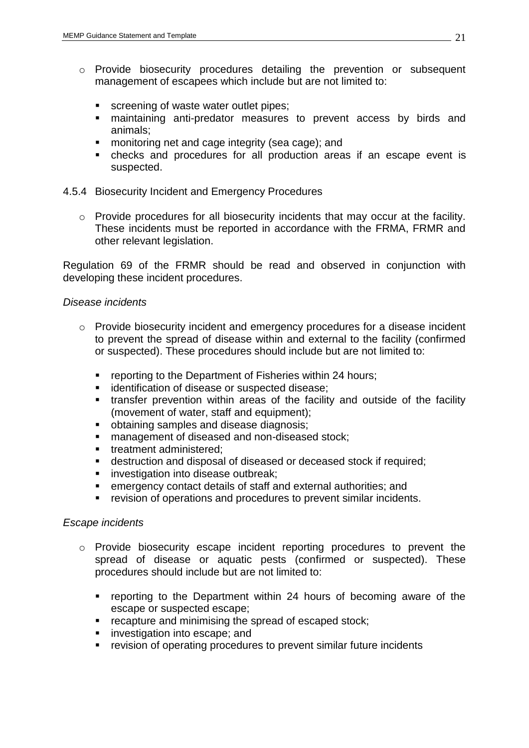- o Provide biosecurity procedures detailing the prevention or subsequent management of escapees which include but are not limited to:
	- screening of waste water outlet pipes;
	- maintaining anti-predator measures to prevent access by birds and animals;
	- **nonitoring net and cage integrity (sea cage); and**
	- checks and procedures for all production areas if an escape event is suspected.

#### <span id="page-20-0"></span>4.5.4 Biosecurity Incident and Emergency Procedures

o Provide procedures for all biosecurity incidents that may occur at the facility. These incidents must be reported in accordance with the FRMA, FRMR and other relevant legislation.

Regulation 69 of the FRMR should be read and observed in conjunction with developing these incident procedures.

#### *Disease incidents*

- o Provide biosecurity incident and emergency procedures for a disease incident to prevent the spread of disease within and external to the facility (confirmed or suspected). These procedures should include but are not limited to:
	- **reporting to the Department of Fisheries within 24 hours;**
	- **identification of disease or suspected disease;**
	- transfer prevention within areas of the facility and outside of the facility (movement of water, staff and equipment);
	- obtaining samples and disease diagnosis;
	- **nanagement of diseased and non-diseased stock;**
	- **treatment administered;**
	- destruction and disposal of diseased or deceased stock if required;
	- **investigation into disease outbreak;**
	- emergency contact details of staff and external authorities; and
	- **•** revision of operations and procedures to prevent similar incidents.

#### *Escape incidents*

- o Provide biosecurity escape incident reporting procedures to prevent the spread of disease or aquatic pests (confirmed or suspected). These procedures should include but are not limited to:
	- **•** reporting to the Department within 24 hours of becoming aware of the escape or suspected escape;
	- **•** recapture and minimising the spread of escaped stock;
	- **investigation into escape; and**
	- **•** revision of operating procedures to prevent similar future incidents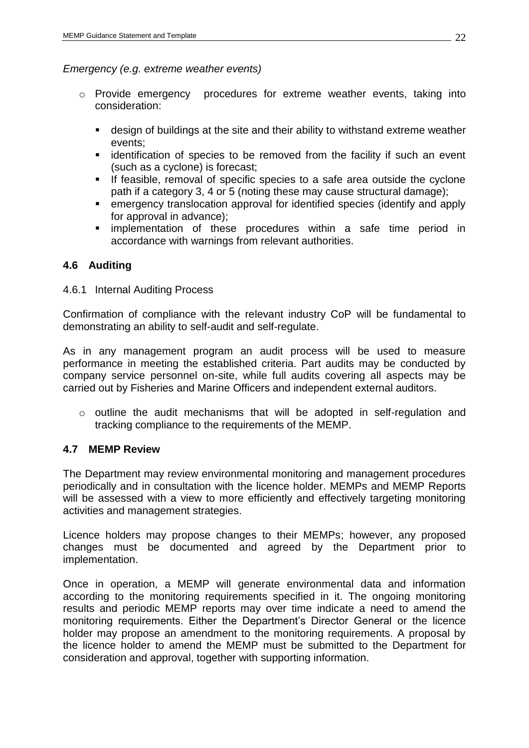## *Emergency (e.g. extreme weather events)*

- o Provide emergency procedures for extreme weather events, taking into consideration:
	- design of buildings at the site and their ability to withstand extreme weather events;
	- **EXT** identification of species to be removed from the facility if such an event (such as a cyclone) is forecast;
	- **If feasible, removal of specific species to a safe area outside the cyclone** path if a category 3, 4 or 5 (noting these may cause structural damage);
	- emergency translocation approval for identified species (identify and apply for approval in advance);
	- **Indementation of these procedures within a safe time period in** accordance with warnings from relevant authorities.

# <span id="page-21-0"></span>**4.6 Auditing**

## <span id="page-21-1"></span>4.6.1 Internal Auditing Process

Confirmation of compliance with the relevant industry CoP will be fundamental to demonstrating an ability to self-audit and self-regulate.

As in any management program an audit process will be used to measure performance in meeting the established criteria. Part audits may be conducted by company service personnel on-site, while full audits covering all aspects may be carried out by Fisheries and Marine Officers and independent external auditors.

o outline the audit mechanisms that will be adopted in self-regulation and tracking compliance to the requirements of the MEMP.

## <span id="page-21-2"></span>**4.7 MEMP Review**

The Department may review environmental monitoring and management procedures periodically and in consultation with the licence holder. MEMPs and MEMP Reports will be assessed with a view to more efficiently and effectively targeting monitoring activities and management strategies.

Licence holders may propose changes to their MEMPs; however, any proposed changes must be documented and agreed by the Department prior to implementation.

Once in operation, a MEMP will generate environmental data and information according to the monitoring requirements specified in it. The ongoing monitoring results and periodic MEMP reports may over time indicate a need to amend the monitoring requirements. Either the Department's Director General or the licence holder may propose an amendment to the monitoring requirements. A proposal by the licence holder to amend the MEMP must be submitted to the Department for consideration and approval, together with supporting information.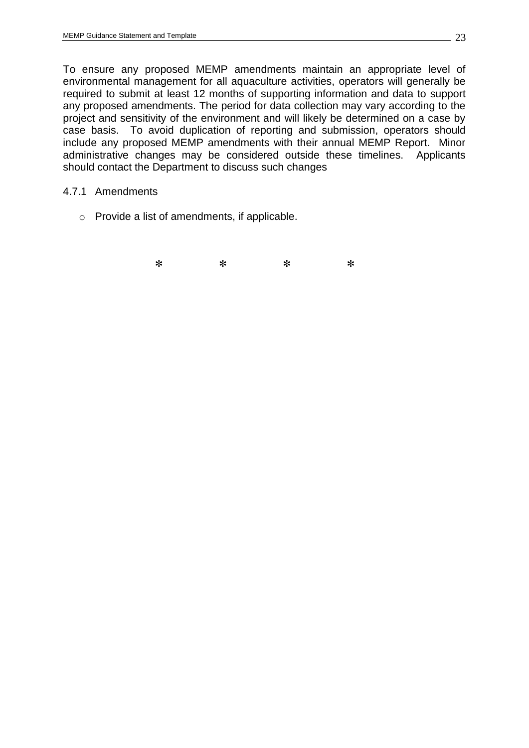To ensure any proposed MEMP amendments maintain an appropriate level of environmental management for all aquaculture activities, operators will generally be required to submit at least 12 months of supporting information and data to support any proposed amendments. The period for data collection may vary according to the project and sensitivity of the environment and will likely be determined on a case by case basis. To avoid duplication of reporting and submission, operators should include any proposed MEMP amendments with their annual MEMP Report. Minor administrative changes may be considered outside these timelines. Applicants should contact the Department to discuss such changes

#### <span id="page-22-0"></span>4.7.1 Amendments

o Provide a list of amendments, if applicable.

⃰ ⃰ ⃰ ⃰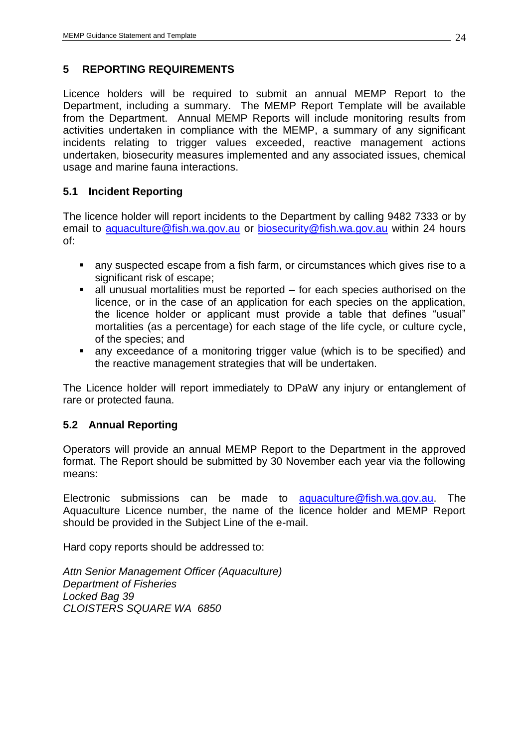# <span id="page-23-0"></span>**5 REPORTING REQUIREMENTS**

Licence holders will be required to submit an annual MEMP Report to the Department, including a summary. The MEMP Report Template will be available from the Department. Annual MEMP Reports will include monitoring results from activities undertaken in compliance with the MEMP, a summary of any significant incidents relating to trigger values exceeded, reactive management actions undertaken, biosecurity measures implemented and any associated issues, chemical usage and marine fauna interactions.

# <span id="page-23-1"></span>**5.1 Incident Reporting**

The licence holder will report incidents to the Department by calling 9482 7333 or by email to [aquaculture@fish.wa.gov.au](mailto:aquaculture@fish.wa.gov.au) or [biosecurity@fish.wa.gov.au](mailto:biosecurity@fish.wa.gov.au) within 24 hours of:

- any suspected escape from a fish farm, or circumstances which gives rise to a significant risk of escape:
- $\blacksquare$  all unusual mortalities must be reported for each species authorised on the licence, or in the case of an application for each species on the application, the licence holder or applicant must provide a table that defines "usual" mortalities (as a percentage) for each stage of the life cycle, or culture cycle, of the species; and
- any exceedance of a monitoring trigger value (which is to be specified) and the reactive management strategies that will be undertaken.

The Licence holder will report immediately to DPaW any injury or entanglement of rare or protected fauna.

# <span id="page-23-2"></span>**5.2 Annual Reporting**

Operators will provide an annual MEMP Report to the Department in the approved format. The Report should be submitted by 30 November each year via the following means:

Electronic submissions can be made to [aquaculture@fish.wa.gov.au.](mailto:aquaculture@fish.wa.gov.au) The Aquaculture Licence number, the name of the licence holder and MEMP Report should be provided in the Subject Line of the e-mail.

Hard copy reports should be addressed to:

*Attn Senior Management Officer (Aquaculture) Department of Fisheries Locked Bag 39 CLOISTERS SQUARE WA 6850*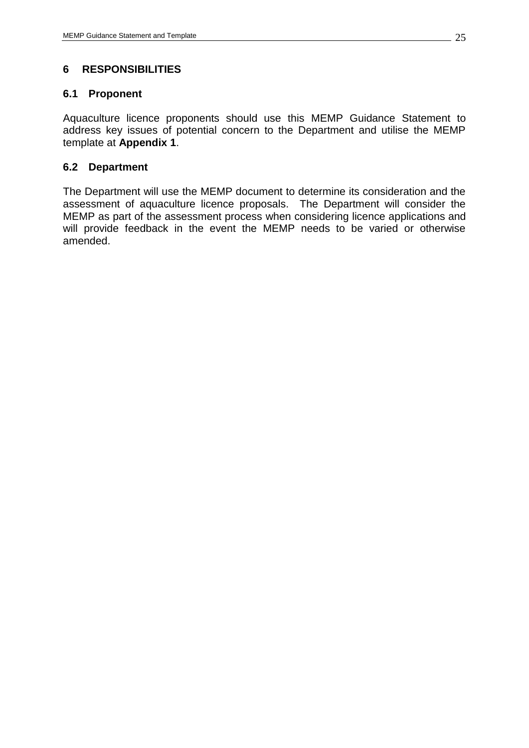# <span id="page-24-0"></span>**6 RESPONSIBILITIES**

#### <span id="page-24-1"></span>**6.1 Proponent**

Aquaculture licence proponents should use this MEMP Guidance Statement to address key issues of potential concern to the Department and utilise the MEMP template at **Appendix 1**.

#### <span id="page-24-2"></span>**6.2 Department**

The Department will use the MEMP document to determine its consideration and the assessment of aquaculture licence proposals. The Department will consider the MEMP as part of the assessment process when considering licence applications and will provide feedback in the event the MEMP needs to be varied or otherwise amended.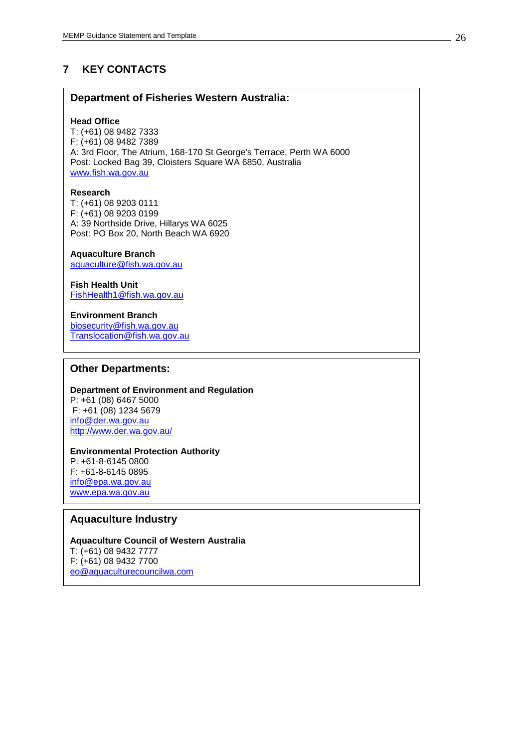# <span id="page-25-0"></span>**7 KEY CONTACTS**

#### **Department of Fisheries Western Australia:**

#### **Head Office**

T: (+61) 08 9482 7333 F: (+61) 08 9482 7389 A: 3rd Floor, The Atrium, 168-170 St George's Terrace, Perth WA 6000 Post: Locked Bag 39, Cloisters Square WA 6850, Australia [www.fish.wa.gov.au](http://www.fish.wa.gov.au/)

#### **Research**

T: (+61) 08 9203 0111 F: (+61) 08 9203 0199 A: 39 Northside Drive, Hillarys WA 6025 Post: PO Box 20, North Beach WA 6920

#### **Aquaculture Branch**

[aquaculture@fish.wa.gov.au](mailto:aquaculture@fish.wa.gov.au)

#### **Fish Health Unit** [FishHealth1@fish.wa.gov.au](mailto:FishHealth1@fish.wa.gov.au)

#### **Environment Branch**

[biosecurity@fish.wa.gov.au](mailto:biosecurity@fish.wa.gov.au) [Translocation@fish.wa.gov.au](mailto:Translocation@fish.wa.gov.au)

#### **Other Departments:**

#### **Department of Environment and Regulation** P: +61 (08) 6467 5000 F: +61 (08) 1234 5679

[info@der.wa.gov.au](mailto:info@der.wa.gov.au) <http://www.der.wa.gov.au/>

#### **Environmental Protection Authority** P: +61-8-6145 0800

F: +61-8-6145 0895 [info@epa.wa.gov.au](mailto:info@epa.wa.gov.au) [www.epa.wa.gov.au](http://www.epa.wa.gov.au/)

 $\overline{\phantom{a}}$ 

## **Aquaculture Industry**

#### **Aquaculture Council of Western Australia** T: (+61) 08 9432 7777 F: (+61) 08 9432 7700 [eo@aquaculturecouncilwa.com](mailto:eo@aquaculturecouncilwa.com)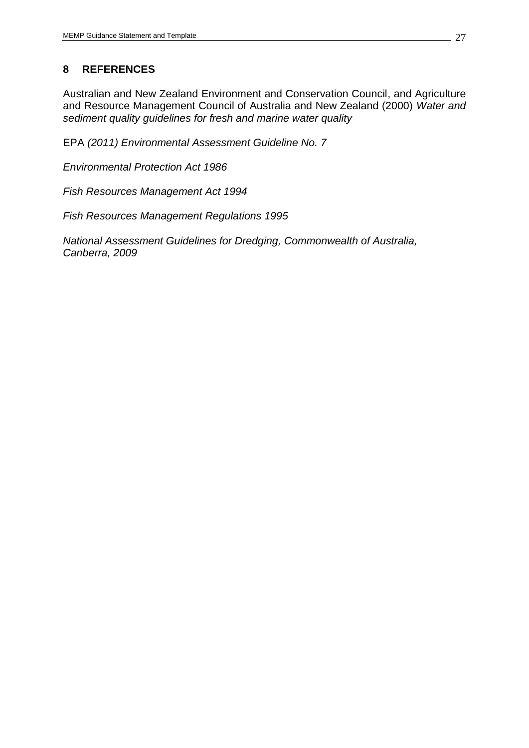# <span id="page-26-0"></span>**8 REFERENCES**

Australian and New Zealand Environment and Conservation Council, and Agriculture and Resource Management Council of Australia and New Zealand (2000) *Water and sediment quality guidelines for fresh and marine water quality*

EPA *(2011) Environmental Assessment Guideline No. 7*

*Environmental Protection Act 1986*

*Fish Resources Management Act 1994*

*Fish Resources Management Regulations 1995*

*National Assessment Guidelines for Dredging, Commonwealth of Australia, Canberra, 2009*